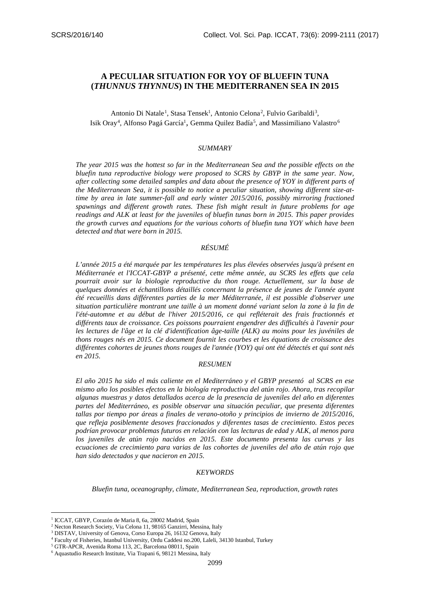# **A PECULIAR SITUATION FOR YOY OF BLUEFIN TUNA (***THUNNUS THYNNUS***) IN THE MEDITERRANEN SEA IN 2015**

Antonio Di Natale<sup>1</sup>, Stasa Tensek<sup>1</sup>, Antonio Celona<sup>2</sup>, Fulvio Garibaldi<sup>3</sup>, Isik Oray<sup>4</sup>, Alfonso Pagá García<sup>1</sup>, Gemma Quilez Badía<sup>5</sup>, and Massimiliano Valastro<sup>6</sup>

#### *SUMMARY*

*The year 2015 was the hottest so far in the Mediterranean Sea and the possible effects on the bluefin tuna reproductive biology were proposed to SCRS by GBYP in the same year. Now, after collecting some detailed samples and data about the presence of YOY in different parts of the Mediterranean Sea, it is possible to notice a peculiar situation, showing different size-attime by area in late summer-fall and early winter 2015/2016, possibly mirroring fractioned spawnings and different growth rates. These fish might result in future problems for age readings and ALK at least for the juveniles of bluefin tunas born in 2015. This paper provides the growth curves and equations for the various cohorts of bluefin tuna YOY which have been detected and that were born in 2015.*

## *RÉSUMÉ*

*L'année 2015 a été marquée par les températures les plus élevées observées jusqu'à présent en Méditerranée et l'ICCAT-GBYP a présenté, cette même année, au SCRS les effets que cela pourrait avoir sur la biologie reproductive du thon rouge. Actuellement, sur la base de quelques données et échantillons détaillés concernant la présence de jeunes de l'année ayant été recueillis dans différentes parties de la mer Méditerranée, il est possible d'observer une situation particulière montrant une taille à un moment donné variant selon la zone à la fin de*  l'été-automne et au début de l'hiver 2015/2016, ce qui refléterait des frais fractionnés et *différents taux de croissance. Ces poissons pourraient engendrer des difficultés à l'avenir pour les lectures de l'âge et la clé d'identification âge-taille (ALK) au moins pour les juvéniles de thons rouges nés en 2015. Ce document fournit les courbes et les équations de croissance des différentes cohortes de jeunes thons rouges de l'année (YOY) qui ont été détectés et qui sont nés en 2015.*

#### *RESUMEN*

*El año 2015 ha sido el más caliente en el Mediterráneo y el GBYP presentó al SCRS en ese mismo año los posibles efectos en la biología reproductiva del atún rojo. Ahora, tras recopilar algunas muestras y datos detallados acerca de la presencia de juveniles del año en diferentes partes del Mediterráneo, es posible observar una situación peculiar, que presenta diferentes tallas por tiempo por áreas a finales de verano-otoño y principios de invierno de 2015/2016, que refleja posiblemente desoves fraccionados y diferentes tasas de crecimiento. Estos peces podrían provocar problemas futuros en relación con las lecturas de edad y ALK, al menos para los juveniles de atún rojo nacidos en 2015. Este documento presenta las curvas y las ecuaciones de crecimiento para varias de las cohortes de juveniles del año de atún rojo que han sido detectados y que nacieron en 2015.*

#### *KEYWORDS*

*Bluefin tuna, oceanography, climate, Mediterranean Sea, reproduction, growth rates*

<u>.</u>

<sup>&</sup>lt;sup>1</sup> ICCAT, GBYP, Corazón de Maria 8, 6a, 28002 Madrid, Spain

<sup>2</sup> Necton Research Society, Via Celona 11, 98165 Ganzirri, Messina, Italy

<sup>&</sup>lt;sup>3</sup> DISTAV, University of Genova, Corso Europa 26, 16132 Genova, Italy

<sup>4</sup> Faculty of Fisheries, Istanbul University, Ordu Caddesi no.200, Laleli, 34130 Istanbul, Turkey

<sup>5</sup> GTR-APCR, Avenida Roma 113, 2C, Barcelona 08011, Spain

<sup>6</sup> Aquastudio Research Institute, Via Trapani 6, 98121 Messina, Italy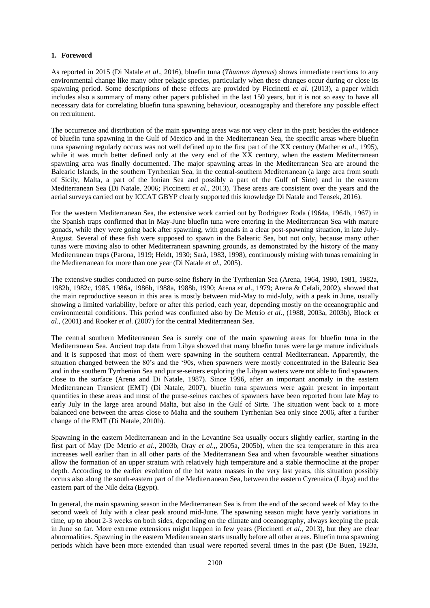## **1. Foreword**

As reported in 2015 (Di Natale *et al*., 2016), bluefin tuna (*Thunnus thynnus*) shows immediate reactions to any environmental change like many other pelagic species, particularly when these changes occur during or close its spawning period. Some descriptions of these effects are provided by Piccinetti *et al*. (2013), a paper which includes also a summary of many other papers published in the last 150 years, but it is not so easy to have all necessary data for correlating bluefin tuna spawning behaviour, oceanography and therefore any possible effect on recruitment.

The occurrence and distribution of the main spawning areas was not very clear in the past; besides the evidence of bluefin tuna spawning in the Gulf of Mexico and in the Mediterranean Sea, the specific areas where bluefin tuna spawning regularly occurs was not well defined up to the first part of the XX century (Mather *et al*., 1995), while it was much better defined only at the very end of the XX century, when the eastern Mediterranean spawning area was finally documented. The major spawning areas in the Mediterranean Sea are around the Balearic Islands, in the southern Tyrrhenian Sea, in the central-southern Mediterranean (a large area from south of Sicily, Malta, a part of the Ionian Sea and possibly a part of the Gulf of Sirte) and in the eastern Mediterranean Sea (Di Natale, 2006; Piccinetti *et al*., 2013). These areas are consistent over the years and the aerial surveys carried out by ICCAT GBYP clearly supported this knowledge Di Natale and Tensek, 2016).

For the western Mediterranean Sea, the extensive work carried out by Rodriguez Roda (1964a, 1964b, 1967) in the Spanish traps confirmed that in May-June bluefin tuna were entering in the Mediterranean Sea with mature gonads, while they were going back after spawning, with gonads in a clear post-spawning situation, in late July-August. Several of these fish were supposed to spawn in the Balearic Sea, but not only, because many other tunas were moving also to other Mediterranean spawning grounds, as demonstrated by the history of the many Mediterranean traps (Parona, 1919; Heldt, 1930; Sarà, 1983, 1998), continuously mixing with tunas remaining in the Mediterranean for more than one year (Di Natale *et al*., 2005).

The extensive studies conducted on purse-seine fishery in the Tyrrhenian Sea (Arena, 1964, 1980, 1981, 1982a, 1982b, 1982c, 1985, 1986a, 1986b, 1988a, 1988b, 1990; Arena *et al*., 1979; Arena & Cefali, 2002), showed that the main reproductive season in this area is mostly between mid-May to mid-July, with a peak in June, usually showing a limited variability, before or after this period, each year, depending mostly on the oceanographic and environmental conditions. This period was confirmed also by De Metrio *et al*., (1988, 2003a, 2003b), Block *et al*., (2001) and Rooker *et al*. (2007) for the central Mediterranean Sea.

The central southern Mediterranean Sea is surely one of the main spawning areas for bluefin tuna in the Mediterranean Sea. Ancient trap data from Libya showed that many bluefin tunas were large mature individuals and it is supposed that most of them were spawning in the southern central Mediterranean. Apparently, the situation changed between the 80's and the '90s, when spawners were mostly concentrated in the Balearic Sea and in the southern Tyrrhenian Sea and purse-seiners exploring the Libyan waters were not able to find spawners close to the surface (Arena and Di Natale, 1987). Since 1996, after an important anomaly in the eastern Mediterranean Transient (EMT) (Di Natale, 2007), bluefin tuna spawners were again present in important quantities in these areas and most of the purse-seines catches of spawners have been reported from late May to early July in the large area around Malta, but also in the Gulf of Sirte. The situation went back to a more balanced one between the areas close to Malta and the southern Tyrrhenian Sea only since 2006, after a further change of the EMT (Di Natale, 2010b).

Spawning in the eastern Mediterranean and in the Levantine Sea usually occurs slightly earlier, starting in the first part of May (De Metrio *et al*., 2003b, Oray *et al*.,, 2005a, 2005b), when the sea temperature in this area increases well earlier than in all other parts of the Mediterranean Sea and when favourable weather situations allow the formation of an upper stratum with relatively high temperature and a stable thermocline at the proper depth. According to the earlier evolution of the hot water masses in the very last years, this situation possibly occurs also along the south-eastern part of the Mediterranean Sea, between the eastern Cyrenaica (Libya) and the eastern part of the Nile delta (Egypt).

In general, the main spawning season in the Mediterranean Sea is from the end of the second week of May to the second week of July with a clear peak around mid-June. The spawning season might have yearly variations in time, up to about 2-3 weeks on both sides, depending on the climate and oceanography, always keeping the peak in June so far. More extreme extensions might happen in few years (Piccinetti *et al*., 2013), but they are clear abnormalities. Spawning in the eastern Mediterranean starts usually before all other areas. Bluefin tuna spawning periods which have been more extended than usual were reported several times in the past (De Buen, 1923a,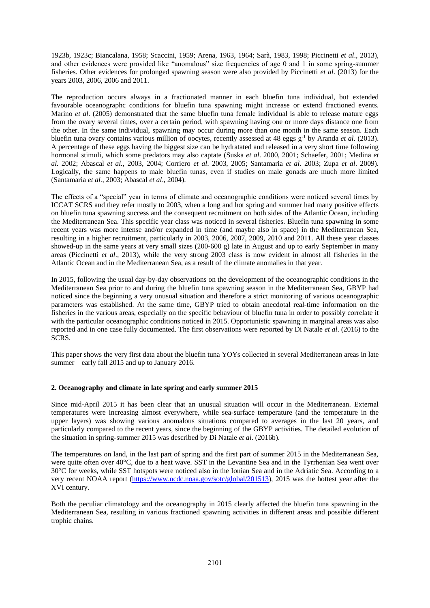1923b, 1923c; Biancalana, 1958; Scaccini, 1959; Arena, 1963, 1964; Sarà, 1983, 1998; Piccinetti *et al*., 2013), and other evidences were provided like "anomalous" size frequencies of age 0 and 1 in some spring-summer fisheries. Other evidences for prolonged spawning season were also provided by Piccinetti *et al*. (2013) for the years 2003, 2006, 2006 and 2011.

The reproduction occurs always in a fractionated manner in each bluefin tuna individual, but extended favourable oceanographc conditions for bluefin tuna spawning might increase or extend fractioned events. Marino *et al*. (2005) demonstrated that the same bluefin tuna female individual is able to release mature eggs from the ovary several times, over a certain period, with spawning having one or more days distance one from the other. In the same individual, spawning may occur during more than one month in the same season. Each bluefin tuna ovary contains various million of oocytes, recently assessed at 48 eggs g-1 by Aranda *et al*. (2013). A percentage of these eggs having the biggest size can be hydratated and released in a very short time following hormonal stimuli, which some predators may also captate (Suska *et al*. 2000, 2001; Schaefer, 2001; Medina *et al.* 2002; Abascal *et al.,* 2003, 2004; Corriero *et al*. 2003, 2005; Santamaria *et al*. 2003; Zupa *et al*. 2009). Logically, the same happens to male bluefin tunas, even if studies on male gonads are much more limited (Santamaria *et al.*, 2003; Abascal *et al*., 2004).

The effects of a "special" year in terms of climate and oceanographic conditions were noticed several times by ICCAT SCRS and they refer mostly to 2003, when a long and hot spring and summer had many positive effects on bluefin tuna spawning success and the consequent recruitment on both sides of the Atlantic Ocean, including the Mediterranean Sea. This specific year class was noticed in several fisheries. Bluefin tuna spawning in some recent years was more intense and/or expanded in time (and maybe also in space) in the Mediterranean Sea, resulting in a higher recruitment, particularly in 2003, 2006, 2007, 2009, 2010 and 2011. All these year classes showed-up in the same years at very small sizes (200-600 g) late in August and up to early September in many areas (Piccinetti *et al*., 2013), while the very strong 2003 class is now evident in almost all fisheries in the Atlantic Ocean and in the Mediterranean Sea, as a result of the climate anomalies in that year.

In 2015, following the usual day-by-day observations on the development of the oceanographic conditions in the Mediterranean Sea prior to and during the bluefin tuna spawning season in the Mediterranean Sea, GBYP had noticed since the beginning a very unusual situation and therefore a strict monitoring of various oceanographic parameters was established. At the same time, GBYP tried to obtain anecdotal real-time information on the fisheries in the various areas, especially on the specific behaviour of bluefin tuna in order to possibly correlate it with the particular oceanographic conditions noticed in 2015. Opportunistic spawning in marginal areas was also reported and in one case fully documented. The first observations were reported by Di Natale *et al*. (2016) to the SCRS.

This paper shows the very first data about the bluefin tuna YOYs collected in several Mediterranean areas in late summer – early fall 2015 and up to January 2016.

## **2. Oceanography and climate in late spring and early summer 2015**

Since mid-April 2015 it has been clear that an unusual situation will occur in the Mediterranean. External temperatures were increasing almost everywhere, while sea-surface temperature (and the temperature in the upper layers) was showing various anomalous situations compared to averages in the last 20 years, and particularly compared to the recent years, since the beginning of the GBYP activities. The detailed evolution of the situation in spring-summer 2015 was described by Di Natale *et al*. (2016b).

The temperatures on land, in the last part of spring and the first part of summer 2015 in the Mediterranean Sea, were quite often over 40°C, due to a heat wave. SST in the Levantine Sea and in the Tyrrhenian Sea went over 30°C for weeks, while SST hotspots were noticed also in the Ionian Sea and in the Adriatic Sea. According to a very recent NOAA report [\(https://www.ncdc.noaa.gov/sotc/global/201513\)](https://www.ncdc.noaa.gov/sotc/global/201513), 2015 was the hottest year after the XVI century.

Both the peculiar climatology and the oceanography in 2015 clearly affected the bluefin tuna spawning in the Mediterranean Sea, resulting in various fractioned spawning activities in different areas and possible different trophic chains.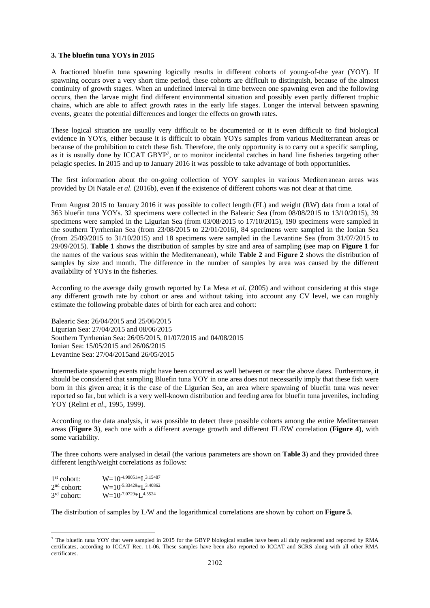#### **3. The bluefin tuna YOYs in 2015**

A fractioned bluefin tuna spawning logically results in different cohorts of young-of-the year (YOY). If spawning occurs over a very short time period, these cohorts are difficult to distinguish, because of the almost continuity of growth stages. When an undefined interval in time between one spawning even and the following occurs, then the larvae might find different environmental situation and possibly even partly different trophic chains, which are able to affect growth rates in the early life stages. Longer the interval between spawning events, greater the potential differences and longer the effects on growth rates.

These logical situation are usually very difficult to be documented or it is even difficult to find biological evidence in YOYs, either because it is difficult to obtain YOYs samples from various Mediterranean areas or because of the prohibition to catch these fish. Therefore, the only opportunity is to carry out a specific sampling, as it is usually done by ICCAT GBYP<sup>7</sup>, or to monitor incidental catches in hand line fisheries targeting other pelagic species. In 2015 and up to January 2016 it was possible to take advantage of both opportunities.

The first information about the on-going collection of YOY samples in various Mediterranean areas was provided by Di Natale *et al*. (2016b), even if the existence of different cohorts was not clear at that time.

From August 2015 to January 2016 it was possible to collect length (FL) and weight (RW) data from a total of 363 bluefin tuna YOYs. 32 specimens were collected in the Balearic Sea (from 08/08/2015 to 13/10/2015), 39 specimens were sampled in the Ligurian Sea (from 03/08/2015 to 17/10/2015), 190 specimens were sampled in the southern Tyrrhenian Sea (from 23/08/2015 to 22/01/2016), 84 specimens were sampled in the Ionian Sea (from 25/09/2015 to 31/10/2015) and 18 specimens were sampled in the Levantine Sea (from 31/07/2015 to 29/09/2015). **Table 1** shows the distribution of samples by size and area of sampling (see map on **Figure 1** for the names of the various seas within the Mediterranean), while **Table 2** and **Figure 2** shows the distribution of samples by size and month. The difference in the number of samples by area was caused by the different availability of YOYs in the fisheries.

According to the average daily growth reported by La Mesa *et al*. (2005) and without considering at this stage any different growth rate by cohort or area and without taking into account any CV level, we can roughly estimate the following probable dates of birth for each area and cohort:

Balearic Sea: 26/04/2015 and 25/06/2015 Ligurian Sea: 27/04/2015 and 08/06/2015 Southern Tyrrhenian Sea: 26/05/2015, 01/07/2015 and 04/08/2015 Ionian Sea: 15/05/2015 and 26/06/2015 Levantine Sea: 27/04/2015and 26/05/2015

Intermediate spawning events might have been occurred as well between or near the above dates. Furthermore, it should be considered that sampling Bluefin tuna YOY in one area does not necessarily imply that these fish were born in this given area; it is the case of the Ligurian Sea, an area where spawning of bluefin tuna was never reported so far, but which is a very well-known distribution and feeding area for bluefin tuna juveniles, including YOY (Relini *et al*., 1995, 1999).

According to the data analysis, it was possible to detect three possible cohorts among the entire Mediterranean areas (**Figure 3**), each one with a different average growth and different FL/RW correlation (**Figure 4**), with some variability.

The three cohorts were analysed in detail (the various parameters are shown on **Table 3**) and they provided three different length/weight correlations as follows:

| $1st$ cohort: | $W=10^{-4.99051}*I$ , 3.15487 |
|---------------|-------------------------------|
| $2nd$ cohort: | $W=10^{-5.33429}*1^{3.40862}$ |
| $3rd$ cohort: | $W=10^{-7.0729}*L^{4.5524}$   |

<u>.</u>

The distribution of samples by L/W and the logarithmical correlations are shown by cohort on **Figure 5**.

 $^7$  The bluefin tuna YOY that were sampled in 2015 for the GBYP biological studies have been all duly registered and reported by RMA certificates, according to ICCAT Rec. 11-06. These samples have been also reported to ICCAT and SCRS along with all other RMA certificates.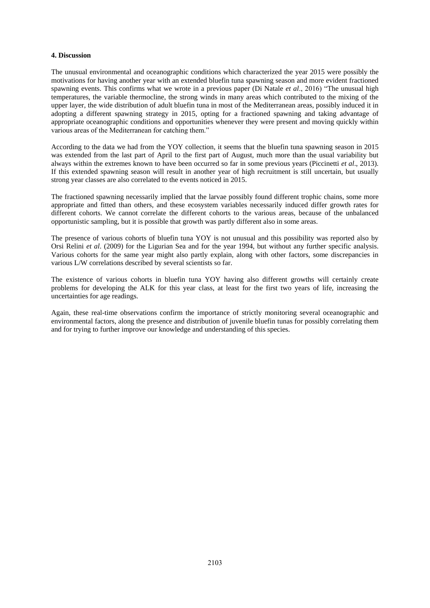## **4. Discussion**

The unusual environmental and oceanographic conditions which characterized the year 2015 were possibly the motivations for having another year with an extended bluefin tuna spawning season and more evident fractioned spawning events. This confirms what we wrote in a previous paper (Di Natale *et al*., 2016) "The unusual high temperatures, the variable thermocline, the strong winds in many areas which contributed to the mixing of the upper layer, the wide distribution of adult bluefin tuna in most of the Mediterranean areas, possibly induced it in adopting a different spawning strategy in 2015, opting for a fractioned spawning and taking advantage of appropriate oceanographic conditions and opportunities whenever they were present and moving quickly within various areas of the Mediterranean for catching them."

According to the data we had from the YOY collection, it seems that the bluefin tuna spawning season in 2015 was extended from the last part of April to the first part of August, much more than the usual variability but always within the extremes known to have been occurred so far in some previous years (Piccinetti *et al*., 2013). If this extended spawning season will result in another year of high recruitment is still uncertain, but usually strong year classes are also correlated to the events noticed in 2015.

The fractioned spawning necessarily implied that the larvae possibly found different trophic chains, some more appropriate and fitted than others, and these ecosystem variables necessarily induced differ growth rates for different cohorts. We cannot correlate the different cohorts to the various areas, because of the unbalanced opportunistic sampling, but it is possible that growth was partly different also in some areas.

The presence of various cohorts of bluefin tuna YOY is not unusual and this possibility was reported also by Orsi Relini *et al*. (2009) for the Ligurian Sea and for the year 1994, but without any further specific analysis. Various cohorts for the same year might also partly explain, along with other factors, some discrepancies in various L/W correlations described by several scientists so far.

The existence of various cohorts in bluefin tuna YOY having also different growths will certainly create problems for developing the ALK for this year class, at least for the first two years of life, increasing the uncertainties for age readings.

Again, these real-time observations confirm the importance of strictly monitoring several oceanographic and environmental factors, along the presence and distribution of juvenile bluefin tunas for possibly correlating them and for trying to further improve our knowledge and understanding of this species.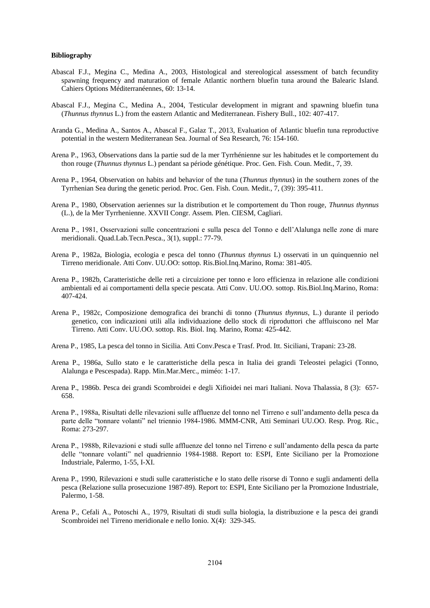#### **Bibliography**

- Abascal F.J., Megina C., Medina A., 2003, Histological and stereological assessment of batch fecundity spawning frequency and maturation of female Atlantic northern bluefin tuna around the Balearic Island. Cahiers Options Méditerranéennes, 60: 13-14.
- Abascal F.J., Megina C., Medina A., 2004, Testicular development in migrant and spawning bluefin tuna (*Thunnus thynnus* L.) from the eastern Atlantic and Mediterranean. Fishery Bull., 102: 407-417.
- Aranda G., Medina A., Santos A., Abascal F., Galaz T., 2013, Evaluation of Atlantic bluefin tuna reproductive potential in the western Mediterranean Sea. Journal of Sea Research, 76: 154-160.
- Arena P., 1963, Observations dans la partie sud de la mer Tyrrhénienne sur les habitudes et le comportement du thon rouge (*Thunnus thynnus* L.) pendant sa période génétique. Proc. Gen. Fish. Coun. Medit., 7, 39.
- Arena P., 1964, Observation on habits and behavior of the tuna (*Thunnus thynnus*) in the southern zones of the Tyrrhenian Sea during the genetic period. Proc. Gen. Fish. Coun. Medit., 7, (39): 395-411.
- Arena P., 1980, Observation aeriennes sur la distribution et le comportement du Thon rouge, *Thunnus thynnus* (L.), de la Mer Tyrrhenienne. XXVII Congr. Assem. Plen. CIESM, Cagliari.
- Arena P., 1981, Osservazioni sulle concentrazioni e sulla pesca del Tonno e dell'Alalunga nelle zone di mare meridionali. Quad.Lab.Tecn.Pesca., 3(1), suppl.: 77-79.
- Arena P., 1982a, Biologia, ecologia e pesca del tonno (*Thunnus thynnus* L) osservati in un quinquennio nel Tirreno meridionale. Atti Conv. UU.OO: sottop. Ris.Biol.Inq.Marino, Roma: 381-405.
- Arena P., 1982b, Caratteristiche delle reti a circuizione per tonno e loro efficienza in relazione alle condizioni ambientali ed ai comportamenti della specie pescata. Atti Conv. UU.OO. sottop. Ris.Biol.Inq.Marino, Roma: 407-424.
- Arena P., 1982c, Composizione demografica dei branchi di tonno (*Thunnus thynnus*, L.) durante il periodo genetico, con indicazioni utili alla individuazione dello stock di riproduttori che affluiscono nel Mar Tirreno. Atti Conv. UU.OO. sottop. Ris. Biol. Inq. Marino, Roma: 425-442.
- Arena P., 1985, La pesca del tonno in Sicilia. Atti Conv.Pesca e Trasf. Prod. Itt. Siciliani, Trapani: 23-28.
- Arena P., 1986a, Sullo stato e le caratteristiche della pesca in Italia dei grandi Teleostei pelagici (Tonno, Alalunga e Pescespada). Rapp. Min.Mar.Merc., miméo: 1-17.
- Arena P., 1986b. Pesca dei grandi Scombroidei e degli Xifioidei nei mari Italiani. Nova Thalassia, 8 (3): 657- 658.
- Arena P., 1988a, Risultati delle rilevazioni sulle affluenze del tonno nel Tirreno e sull'andamento della pesca da parte delle "tonnare volanti" nel triennio 1984-1986. MMM-CNR, Atti Seminari UU.OO. Resp. Prog. Ric., Roma: 273-297.
- Arena P., 1988b, Rilevazioni e studi sulle affluenze del tonno nel Tirreno e sull'andamento della pesca da parte delle "tonnare volanti" nel quadriennio 1984-1988. Report to: ESPI, Ente Siciliano per la Promozione Industriale, Palermo, 1-55, I-XI.
- Arena P., 1990, Rilevazioni e studi sulle caratteristiche e lo stato delle risorse di Tonno e sugli andamenti della pesca (Relazione sulla prosecuzione 1987-89). Report to: ESPI, Ente Siciliano per la Promozione Industriale, Palermo, 1-58.
- Arena P., Cefali A., Potoschi A., 1979, Risultati di studi sulla biologia, la distribuzione e la pesca dei grandi Scombroidei nel Tirreno meridionale e nello Ionio. X(4): 329-345.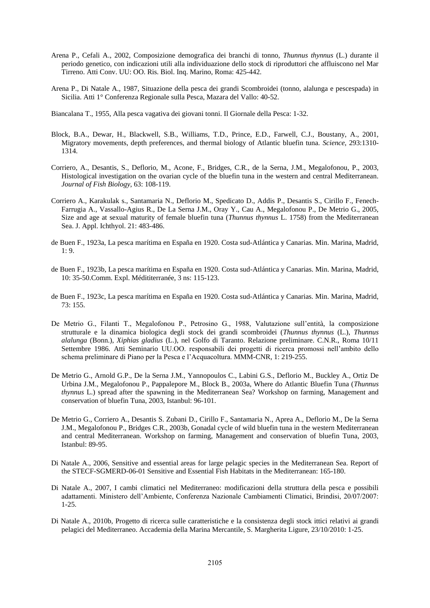- Arena P., Cefali A., 2002, Composizione demografica dei branchi di tonno, *Thunnus thynnus* (L.) durante il periodo genetico, con indicazioni utili alla individuazione dello stock di riproduttori che affluiscono nel Mar Tirreno. Atti Conv. UU: OO. Ris. Biol. Inq. Marino, Roma: 425-442.
- Arena P., Di Natale A., 1987, Situazione della pesca dei grandi Scombroidei (tonno, alalunga e pescespada) in Sicilia. Atti 1° Conferenza Regionale sulla Pesca, Mazara del Vallo: 40-52.
- Biancalana T., 1955, Alla pesca vagativa dei giovani tonni. Il Giornale della Pesca: 1-32.
- Block, B.A., Dewar, H., Blackwell, S.B., Williams, T.D., Prince, E.D., Farwell, C.J., Boustany, A., 2001, Migratory movements, depth preferences, and thermal biology of Atlantic bluefin tuna. *Science*, 293:1310- 1314.
- Corriero, A., Desantis, S., Deflorio, M., Acone, F., Bridges, C.R., de la Serna, J.M., Megalofonou, P., 2003, Histological investigation on the ovarian cycle of the bluefin tuna in the western and central Mediterranean. *Journal of Fish Biology*, 63: 108-119.
- Corriero A., Karakulak s., Santamaria N., Deflorio M., Spedicato D., Addis P., Desantis S., Cirillo F., Fenech-Farrugia A., Vassallo-Agius R., De La Serna J.M., Oray Y., Cau A., Megalofonou P., De Metrio G., 2005, Size and age at sexual maturity of female bluefin tuna (*Thunnus thynnus* L. 1758) from the Mediterranean Sea. J. Appl. Ichthyol. 21: 483-486.
- de Buen F., 1923a, La pesca marítima en España en 1920. Costa sud-Atlántica y Canarias. Min. Marina, Madrid,  $1: 9.$
- de Buen F., 1923b, La pesca marítima en España en 1920. Costa sud-Atlántica y Canarias. Min. Marina, Madrid, 10: 35-50.Comm. Expl. Médititerranée, 3 ns: 115-123.
- de Buen F., 1923c, La pesca marítima en España en 1920. Costa sud-Atlántica y Canarias. Min. Marina, Madrid, 73: 155.
- De Metrio G., Filanti T., Megalofonou P., Petrosino G., 1988, Valutazione sull'entità, la composizione strutturale e la dinamica biologica degli stock dei grandi scombroidei (*Thunnus thynnus* (L.), *Thunnus alalunga* (Bonn.), *Xiphias gladius* (L.), nel Golfo di Taranto. Relazione preliminare. C.N.R., Roma 10/11 Settembre 1986. Atti Seminario UU.OO. responsabili dei progetti di ricerca promossi nell'ambito dello schema preliminare di Piano per la Pesca e l'Acquacoltura. MMM-CNR, 1: 219-255.
- De Metrio G., Arnold G.P., De la Serna J.M., Yannopoulos C., Labini G.S., Deflorio M., Buckley A., Ortiz De Urbina J.M., Megalofonou P., Pappalepore M., Block B., 2003a, Where do Atlantic Bluefin Tuna (*Thunnus thynnus* L.) spread after the spawning in the Mediterranean Sea? Workshop on farming, Management and conservation of bluefin Tuna, 2003, Istanbul: 96-101.
- De Metrio G., Corriero A., Desantis S. Zubani D., Cirillo F., Santamaria N., Aprea A., Deflorio M., De la Serna J.M., Megalofonou P., Bridges C.R., 2003b, Gonadal cycle of wild bluefin tuna in the western Mediterranean and central Mediterranean. Workshop on farming, Management and conservation of bluefin Tuna, 2003, Istanbul: 89-95.
- Di Natale A., 2006, Sensitive and essential areas for large pelagic species in the Mediterranean Sea. Report of the STECF-SGMERD-06-01 Sensitive and Essential Fish Habitats in the Mediterranean: 165-180.
- Di Natale A., 2007, I cambi climatici nel Mediterraneo: modificazioni della struttura della pesca e possibili adattamenti. Ministero dell'Ambiente, Conferenza Nazionale Cambiamenti Climatici, Brindisi, 20/07/2007: 1-25.
- Di Natale A., 2010b, Progetto di ricerca sulle caratteristiche e la consistenza degli stock ittici relativi ai grandi pelagici del Mediterraneo. Accademia della Marina Mercantile, S. Margherita Ligure, 23/10/2010: 1-25.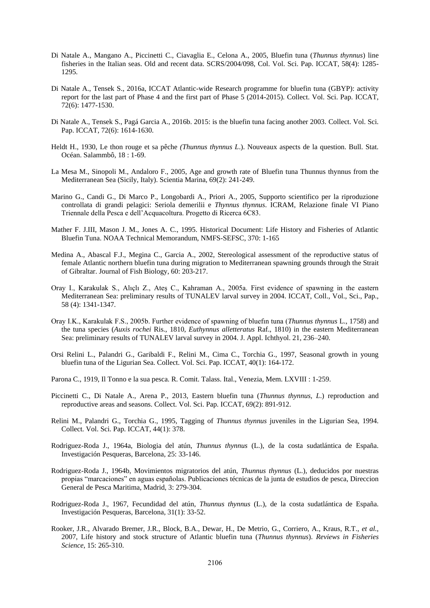- Di Natale A., Mangano A., Piccinetti C., Ciavaglia E., Celona A., 2005, Bluefin tuna (*Thunnus thynnus*) line fisheries in the Italian seas. Old and recent data. SCRS/2004/098, Col. Vol. Sci. Pap. ICCAT, 58(4): 1285- 1295.
- Di Natale A., Tensek S., 2016a, ICCAT Atlantic-wide Research programme for bluefin tuna (GBYP): activity report for the last part of Phase 4 and the first part of Phase 5 (2014-2015). Collect. Vol. Sci. Pap. ICCAT, 72(6): 1477-1530.
- Di Natale A., Tensek S., Pagá Garcia A., 2016b. 2015: is the bluefin tuna facing another 2003. Collect. Vol. Sci. Pap. ICCAT, 72(6): 1614-1630.
- Heldt H., 1930, Le thon rouge et sa pêche *(Thunnus thynnus L*.). Nouveaux aspects de la question. Bull. Stat. Océan. Salammbô, 18 : 1-69.
- La Mesa M., Sinopoli M., Andaloro F., 2005, Age and growth rate of Bluefin tuna Thunnus thynnus from the Mediterranean Sea (Sicily, Italy). Scientia Marina, 69(2): 241-249.
- Marino G., Candi G., Di Marco P., Longobardi A., Priori A., 2005, Supporto scientifico per la riproduzione controllata di grandi pelagici: Seriola demerilii e *Thynnus thynnus*. ICRAM, Relazione finale VI Piano Triennale della Pesca e dell'Acquacoltura. Progetto di Ricerca 6C83.
- Mather F. J.III, Mason J. M., Jones A. C., 1995. Historical Document: Life History and Fisheries of Atlantic Bluefin Tuna. NOAA Technical Memorandum, NMFS-SEFSC, 370: 1-165
- Medina A., Abascal F.J., Megina C., Garcia A., 2002, Stereological assessment of the reproductive status of female Atlantic northern bluefin tuna during migration to Mediterranean spawning grounds through the Strait of Gibraltar. Journal of Fish Biology, 60: 203-217.
- Oray I., Karakulak S., Alıçlı Z., Ateş C., Kahraman A., 2005a. First evidence of spawning in the eastern Mediterranean Sea: preliminary results of TUNALEV larval survey in 2004. ICCAT, Coll., Vol., Sci., Pap., 58 (4): 1341-1347.
- Oray I.K., Karakulak F.S., 2005b. Further evidence of spawning of bluefın tuna (*Thunnus thynnus* L., 1758) and the tuna species (*Auxis rochei* Ris., 1810, *Euthynnus alletteratus* Raf., 1810) in the eastern Mediterranean Sea: preliminary results of TUNALEV larval survey in 2004. J. Appl. Ichthyol. 21, 236–240.
- Orsi Relini L., Palandri G., Garibaldi F., Relini M., Cima C., Torchia G., 1997, Seasonal growth in young bluefin tuna of the Ligurian Sea. Collect. Vol. Sci. Pap. ICCAT, 40(1): 164-172.
- Parona C., 1919, Il Tonno e la sua pesca. R. Comit. Talass. Ital., Venezia, Mem. LXVIII : 1-259.
- Piccinetti C., Di Natale A., Arena P., 2013, Eastern bluefin tuna (*Thunnus thynnus, L*.) reproduction and reproductive areas and seasons. Collect. Vol. Sci. Pap. ICCAT, 69(2): 891-912.
- Relini M., Palandri G., Torchia G., 1995, Tagging of *Thunnus thynnus* juveniles in the Ligurian Sea, 1994. Collect. Vol. Sci. Pap. ICCAT, 44(1): 378.
- Rodriguez-Roda J., 1964a, Biologia del atún, *Thunnus thynnus* (L.), de la costa sudatlántica de España. Investigación Pesqueras, Barcelona, 25: 33-146.
- Rodriguez-Roda J., 1964b, Movimientos migratorios del atún, *Thunnus thynnus* (L.), deducidos por nuestras propias "marcaciones" en aguas españolas. Publicaciones técnicas de la junta de estudios de pesca, Direccion General de Pesca Maritima, Madrid, 3: 279-304.
- Rodriguez-Roda J., 1967, Fecundidad del atún, *Thunnus thynnus* (L.), de la costa sudatlántica de España. Investigación Pesqueras, Barcelona, 31(1): 33-52.
- Rooker, J.R., Alvarado Bremer, J.R., Block, B.A., Dewar, H., De Metrio, G., Corriero, A., Kraus, R.T., *et al.*, 2007, Life history and stock structure of Atlantic bluefin tuna (*Thunnus thynnus*). *Reviews in Fisheries Science*, 15: 265-310.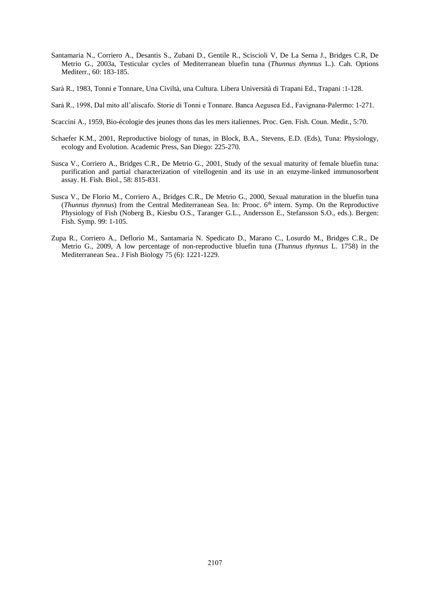- Santamaria N., Corriero A., Desantis S., Zubani D., Gentile R., Sciscioli V, De La Serna J., Bridges C.R, De Metrio G., 2003a, Testicular cycles of Mediterranean bluefin tuna (*Thunnus thynnus* L.). Cah. Options Mediterr., 60: 183-185.
- Sarà R., 1983, Tonni e Tonnare, Una Civiltà, una Cultura. Libera Università di Trapani Ed., Trapani :1-128.
- Sarà R., 1998, Dal mito all'aliscafo. Storie di Tonni e Tonnare. Banca Aegusea Ed., Favignana-Palermo: 1-271.
- Scaccini A., 1959, Bio-écologie des jeunes thons das les mers italiennes. Proc. Gen. Fish. Coun. Medit., 5:70.
- Schaefer K.M., 2001, Reproductive biology of tunas, in Block, B.A., Stevens, E.D. (Eds), Tuna: Physiology, ecology and Evolution. Academic Press, San Diego: 225-270.
- Susca V., Corriero A., Bridges C.R., De Metrio G., 2001, Study of the sexual maturity of female bluefin tuna: purification and partial characterization of vitellogenin and its use in an enzyme-linked immunosorbent assay. H. Fish. Biol., 58: 815-831.
- Susca V., De Florio M., Corriero A., Bridges C.R., De Metrio G., 2000, Sexual maturation in the bluefin tuna (*Thunnus thynnus*) from the Central Mediterranean Sea. In: Prooc. 6<sup>th</sup> intern. Symp. On the Reproductive Physiology of Fish (Noberg B., Kiesbu O.S., Taranger G.L., Andersson E., Stefansson S.O., eds.). Bergen: Fish. Symp. 99: 1-105.
- Zupa R., Corriero A., Deflorio M., Santamaria N. Spedicato D., Marano C., Losurdo M., Bridges C.R., De Metrio G., 2009, A low percentage of non-reproductive bluefin tuna (*Thunnus thynnus* L. 1758) in the Mediterranean Sea.. J Fish Biology 75 (6): 1221-1229.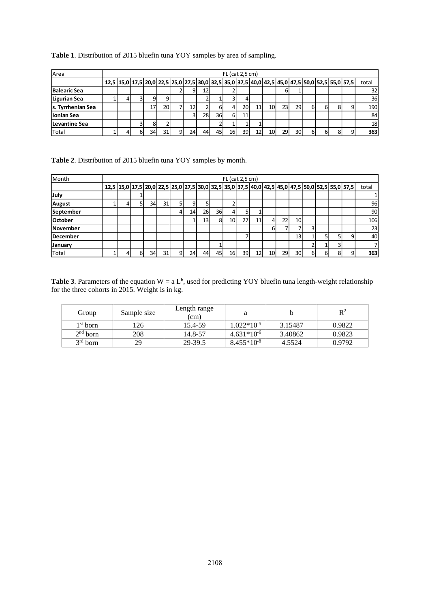| Area              | $FL$ (cat 2,5 cm) |   |    |    |   |    |    |     |     |    |    |    |     |                 |    |    |   |                                                                                                                                    |       |
|-------------------|-------------------|---|----|----|---|----|----|-----|-----|----|----|----|-----|-----------------|----|----|---|------------------------------------------------------------------------------------------------------------------------------------|-------|
|                   |                   |   |    |    |   |    |    |     |     |    |    |    |     |                 |    |    |   | 12,5   15,0   17,5   20,0   22,5   25,0   27,5   30,0   32,5   35,0   37,5   40,0   42,5   45,0   47,5   50,0   52,5   55,0   57,5 | total |
| Balearic Sea      |                   |   |    |    |   |    | 12 |     |     |    |    |    |     |                 |    |    |   |                                                                                                                                    | 32    |
| Ligurian Sea      |                   |   | 9  | 9  |   |    |    |     |     |    |    |    |     |                 |    |    |   |                                                                                                                                    | 36    |
| s. Tyrrhenian Sea |                   |   | 17 | 20 |   | 12 |    | ы   |     | 20 | 11 | 10 | 23  | 29              | 61 | 6  | 8 |                                                                                                                                    | 190   |
| llonian Sea       |                   |   |    |    |   | 3  | 28 | 36I | 6   | 11 |    |    |     |                 |    |    |   |                                                                                                                                    | 84    |
| Levantine Sea     |                   |   |    |    |   |    |    |     |     |    |    |    |     |                 |    |    |   |                                                                                                                                    | 18    |
| Total             |                   | ы | 34 | 31 | 9 | 24 | 44 | 45  | 16I | 39 | 12 | 10 | 29. | 30 <sup>1</sup> | 61 | 61 | 8 |                                                                                                                                    | 363   |

## **Table 1**. Distribution of 2015 bluefin tuna YOY samples by area of sampling.

**Table 2**. Distribution of 2015 bluefin tuna YOY samples by month.

| Month          | $FL$ (cat 2,5 cm) |    |    |    |   |    |                 |    |    |    |                 |                                                                                                                                    |    |                 |    |     |   |       |
|----------------|-------------------|----|----|----|---|----|-----------------|----|----|----|-----------------|------------------------------------------------------------------------------------------------------------------------------------|----|-----------------|----|-----|---|-------|
|                |                   |    |    |    |   |    |                 |    |    |    |                 | 12,5   15,0   17,5   20,0   22,5   25,0   27,5   30,0   32,5   35,0   37,5   40,0   42,5   45,0   47,5   50,0   52,5   55,0   57,5 |    |                 |    |     |   | total |
| July           |                   |    |    |    |   |    |                 |    |    |    |                 |                                                                                                                                    |    |                 |    |     |   | 1     |
| August         |                   |    | 34 | 31 |   | 9  |                 |    |    |    |                 |                                                                                                                                    |    |                 |    |     |   | 96    |
| September      |                   |    |    |    |   | 14 | 26              | 36 |    |    |                 |                                                                                                                                    |    |                 |    |     |   | 90    |
| <b>October</b> |                   |    |    |    |   |    | 13 <sub>1</sub> | 8  | 10 | 27 | 11              | 4                                                                                                                                  | 22 | <b>10</b>       |    |     |   | 106   |
| November       |                   |    |    |    |   |    |                 |    |    |    |                 | 6                                                                                                                                  |    |                 |    |     |   | 23    |
| December       |                   |    |    |    |   |    |                 |    |    |    |                 |                                                                                                                                    |    | 13              |    |     |   | 40    |
| January        |                   |    |    |    |   |    |                 |    |    |    |                 |                                                                                                                                    |    |                 |    |     |   | 7     |
| Total          |                   | 61 | 34 | 31 | 9 | 24 | 44              | 45 | 16 | 39 | 12 <sub>1</sub> | 10                                                                                                                                 | 29 | 30 <sup>1</sup> | 61 | -61 | 8 | 363   |

**Table 3**. Parameters of the equation  $W = a L^b$ , used for predicting YOY bluefin tuna length-weight relationship for the three cohorts in 2015. Weight is in kg.

| Group      | Sample size | Length range<br>(cm) |                 |         | $\mathbb{R}^2$ |
|------------|-------------|----------------------|-----------------|---------|----------------|
| $1st$ born | 126         | 15.4-59              | $1.022*10^{-5}$ | 3.15487 | 0.9822         |
| $2nd$ born | 208         | 14.8-57              | $4.631*10^{-6}$ | 3.40862 | 0.9823         |
| $3rd$ born | 29          | 29-39.5              | $8.455*10-8$    | 4.5524  | 0.9792         |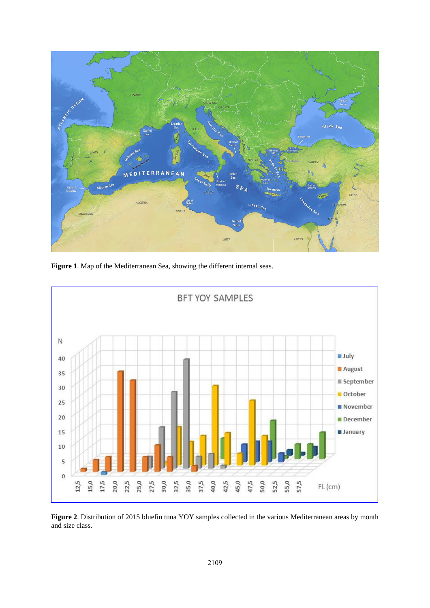

**Figure 1**. Map of the Mediterranean Sea, showing the different internal seas.



**Figure 2**. Distribution of 2015 bluefin tuna YOY samples collected in the various Mediterranean areas by month and size class.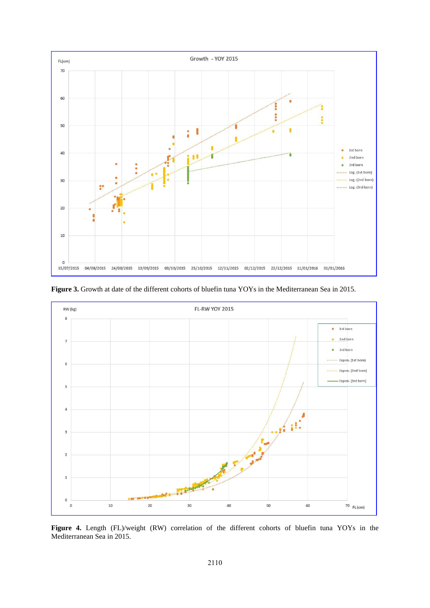

**Figure 3.** Growth at date of the different cohorts of bluefin tuna YOYs in the Mediterranean Sea in 2015.



Figure 4. Length (FL)/weight (RW) correlation of the different cohorts of bluefin tuna YOYs in the Mediterranean Sea in 2015.